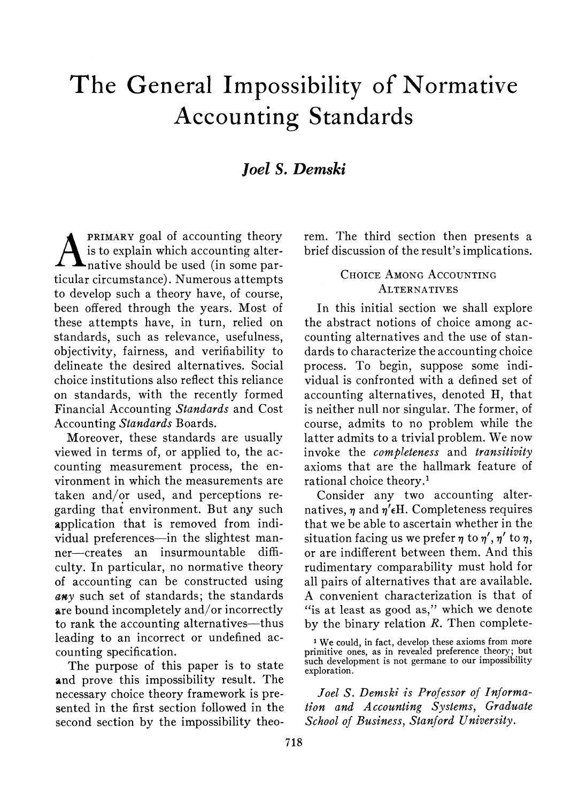# **The General Impossibility of Normative Accounting Standards**

# **Joel S. Demski**

**A PRIMARY goal of accounting theory is to explain which accounting alternative should be used (in some particular circumstance). Numerous attempts to develop such a theory have, of course, been offered through the years. Most of these attempts have, in turn, relied on standards, such as relevance, usefulness, objectivity, fairness, and verifiability to delineate the desired alternatives. Social choice institutions also reflect this reliance on standards, with the recently formed Financial Accounting Standards and Cost Accounting Standards Boards.** 

**Moreover, these standards are usually viewed in terms of, or applied to, the accounting measurement process, the environment in which the measurements are taken and/or used, and perceptions regarding that environment. But any such application that is removed from indi**vidual preferences—in the slightest man**ner-creates an insurmountable difficulty. In particular, no normative theory of accounting can be constructed using auy such set of standards; the standards are bound incompletely and/or incorrectly to rank the accounting alternatives-thus leading to an incorrect or undefined accounting specification.** 

**The purpose of this paper is to state and prove this impossibility result. The necessary choice theory framework is presented in the first section followed in the second section by the impossibility theo-** **rem. The third section then presents a brief discussion of the result's implications.** 

## **CHOICE AMONG ACCOUNTING ALTERNATIVES**

**In this initial section we shall explore the abstract notions of choice among accounting alternatives and the use of standards to characterize the accounting choice process. To begin, suppose some individual is confronted with a defined set of accounting alternatives, denoted H, that is neither null nor singular. The former, of course, admits to no problem while the latter admits to a trivial problem. We now invoke the completeness and transitivity axioms that are the hallmark feature of rational choice theory.'** 

**Consider any two accounting alter**natives,  $\eta$  and  $\eta'$ **eH.** Completeness requires **that we be able to ascertain whether in the**  situation facing us we prefer  $\eta$  to  $\eta'$ ,  $\eta'$  to  $\eta$ , **or are indifferent between them. And this rudimentary comparability must hold for all pairs of alternatives that are available. A convenient characterization is that of "is at least as good as," which we denote by the binary relation R. Then complete-**

**Joel S. Demski is Professor of Information and A ccounting Systems, Graduate School of Business, Stanford University.** 

**<sup>1</sup> We could, in fact, develop these axioms from more primitive ones, as in revealed preference theory; but such development is not germane to our impossibility exploration.**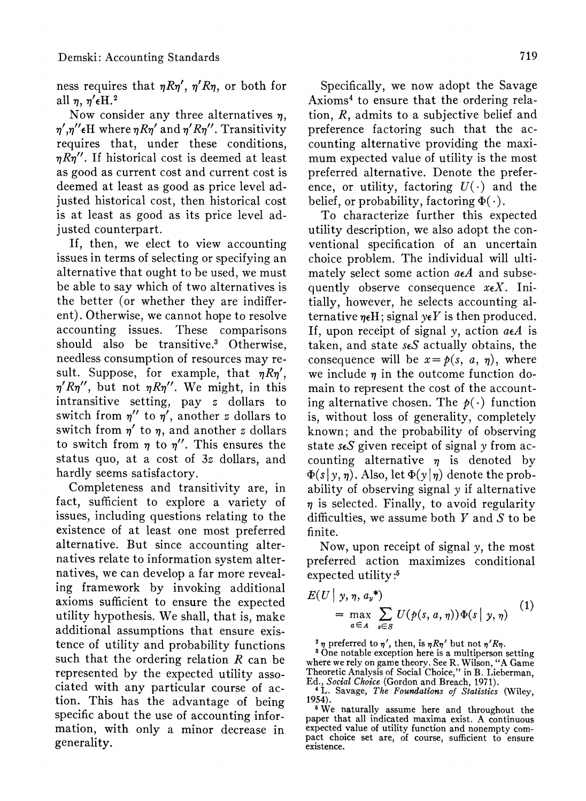ness requires that  $\eta R\eta'$ ,  $\eta' R\eta$ , or both for all  $n, n' \in H$ .<sup>2</sup>

Now consider any three alternatives *n*.  $\eta'$ , $\eta''$ **eH** where  $\eta R\eta'$  and  $\eta' R\eta''$ . Transitivity **requires that, under these conditions,**   $\eta R\eta''$ . If historical cost is deemed at least **as good as current cost and current cost is deemed at least as good as price level adjusted historical cost, then historical cost is at least as good as its price level adjusted counterpart.** 

**If, then, we elect to view accounting issues in terms of selecting or specifying an alternative that ought to be used, we must be able to say which of two alternatives is the better (or whether they are indifferent). Otherwise, we cannot hope to resolve accounting issues. These comparisons should also be transitive.3 Otherwise, needless consumption of resources may re**sult. Suppose, for example, that  $nRn'$ .  $\eta' R \eta''$ , but not  $\eta R \eta''$ . We might, in this **intransitive setting, pay z dollars to**  switch from  $\eta''$  to  $\eta'$ , another z dollars to switch from  $\eta'$  to  $\eta$ , and another z dollars to switch from  $\eta$  to  $\eta''$ . This ensures the **status quo, at a cost of 3z dollars, and hardly seems satisfactory.** 

**Completeness and transitivity are, in fact, sufficient to explore a variety of issues, including questions relating to the existence of at least one most preferred alternative. But since accounting alternatives relate to information system alternatives, we can develop a far more revealing framework by invoking additional axioms sufficient to ensure the expected utility hypothesis. We shall, that is, make additional assumptions that ensure existence of utility and probability functions such that the ordering relation R can be represented by the expected utility associated with any particular course of action. This has the advantage of being specific about the use of accounting information, with only a minor decrease in generality.** 

**Specifically, we now adopt the Savage Axioms4 to ensure that the ordering relation, R. admits to a subjective belief and preference factoring such that the accounting alternative providing the maximum expected value of utility is the most preferred alternative. Denote the prefer**ence, or utility, factoring  $U(\cdot)$  and the belief, or probability, factoring  $\Phi(\cdot)$ .

**To characterize further this expected utility description, we also adopt the conventional specification of an uncertain choice problem. The individual will ulti**mately select some action  $a \in A$  and subse**quently observe consequence xeX. Initially, however, he selects accounting alternative**  $\eta \in H$ **; signal**  $\gamma \in V$  **is then produced.** If, upon receipt of signal  $\nu$ , action  $a \in A$  is taken, and state seS actually obtains, the consequence will be  $x = p(s, a, \eta)$ , where we include *n* in the outcome function do**main to represent the cost of the account**ing alternative chosen. The  $p(\cdot)$  function **is, without loss of generality, completely known; and the probability of observing**  state  $s \in S$  given receipt of signal  $\gamma$  from accounting alternative  $\eta$  is denoted by  $\Phi(s|\gamma,\eta)$ . Also, let  $\Phi(\gamma|\eta)$  denote the prob**ability of observing signal y if alternative -q is selected. Finally, to avoid regularity difficulties, we assume both Y and S to be finite.** 

**Now, upon receipt of signal y, the most preferred action maximizes conditional expected utility:**<sup>5</sup>

$$
E(U \mid y, \eta, a_y^*)
$$
  
= 
$$
\max_{a \in A} \sum_{s \in S} U(p(s, a, \eta)) \Phi(s \mid y, \eta)
$$
 (1)

<sup>2</sup>  $\eta$  preferred to  $\eta'$ , then, is  $\eta R\eta'$  but not  $\eta' R\eta$ .

**<sup>3</sup>One notable exception here is a multiperson setting where we rely on game theory. See R. Wilson, "A Game Theoretic Analysis of Social Choice," in B. Lieberman** 

**Ed., Social Choice (Gordon and Breach, 1971). <sup>4</sup>L. Savage, The Foundations of Statistics (Wiley, 1954).** 

**<sup>6</sup>We naturally assume here and throughout the paper that all indicated maxima exist. A continuous expected value of utility function and nonempty compact choice set are, of course, sufficient to ensure existence.**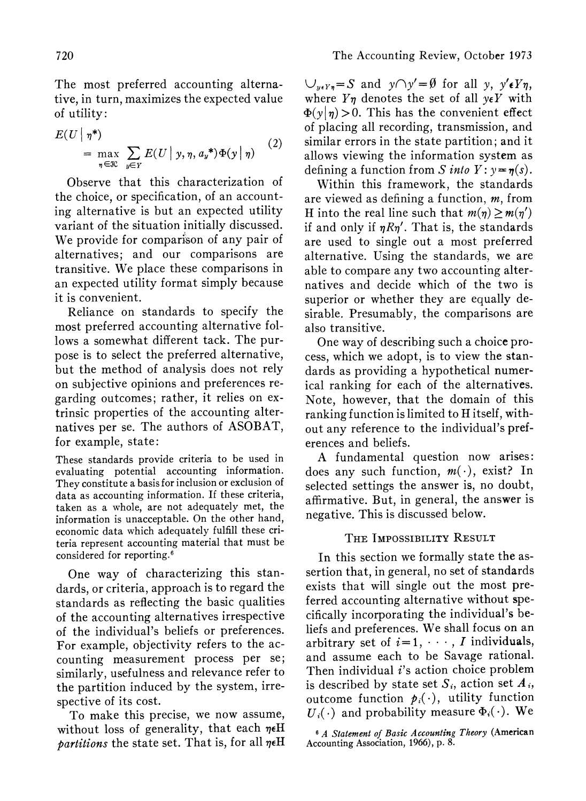$$
E(U \mid \eta^*)
$$
  
= 
$$
\max_{\eta \in \mathcal{X}} \sum_{y \in Y} E(U \mid y, \eta, a_y^*) \Phi(y \mid \eta)
$$
 (2)

**Observe that this characterization of the choice, or specification, of an accounting alternative is but an expected utility variant of the situation initially discussed. We provide for comparison of any pair of alternatives; and our comparisons are transitive. We place these comparisons in an expected utility format simply because it is convenient.** 

**Reliance on standards to specify the most preferred accounting alternative follows a somewhat different tack. The purpose is to select the preferred alternative, but the method of analysis does not rely on subjective opinions and preferences regarding outcomes; rather, it relies on extrinsic properties of the accounting alternatives per se. The authors of ASOBAT, for example, state:** 

**These standards provide criteria to be used in evaluating potential accounting information. They constitute a basis for inclusion or exclusion of data as accounting information. If these criteria, taken as a whole, are not adequately met, the information is unacceptable. On the other hand, economic data which adequately fulfill these criteria represent accounting material that must be considered for reporting.6** 

**One way of characterizing this standards, or criteria, approach is to regard the standards as reflecting the basic qualities of the accounting alternatives irrespective of the individual's beliefs or preferences. For example, objectivity refers to the accounting measurement process per se; similarly, usefulness and relevance refer to the partition induced by the system, irrespective of its cost.** 

**To make this precise, we now assume,**  without loss of generality, that each  $\eta \in H$ *partitions* the state set. That is, for all  $\eta \in H$ 

 $\bigcup_{v \in Y} E_v = S$  and  $v \cap v' = \emptyset$  for all v,  $v' \in Y$ , where  $Y_n$  denotes the set of all  $v \in Y$  with  $\Phi(\nu|\eta) > 0$ . This has the convenient effect **of placing all recording, transmission, and similar errors in the state partition; and it allows viewing the information system as**  defining a function from S *into Y*:  $v = n(s)$ .

**Within this framework, the standards are viewed as defining a function, m, from H** into the real line such that  $m(\eta) > m(\eta')$ if and only if  $nRn'$ . That is, the standards **are used to single out a most preferred alternative. Using the standards, we are able to compare any two accounting alternatives and decide which of the two is superior or whether they are equally desirable. Presumably, the comparisons are also transitive.** 

**One way of describing such a choice process, which we adopt, is to view the standards as providing a hypothetical numerical ranking for each of the alternatives. Note, however, that the domain of this**  ranking function is limited to H itself, with**out any reference to the individual's preferences and beliefs.** 

**A fundamental question now arises: does any such function, m(.), exist? In selected settings the answer is, no doubt, affirmative. But, in general, the answer is negative. This is discussed below.** 

# **THE IMPOSSIBILITY RESULT**

**In this section we formally state the assertion that, in general, no set of standards exists that will single out the most preferred accounting alternative without specifically incorporating the individual's beliefs and preferences. We shall focus on an**  arbitrary set of  $i = 1, \dots, I$  individuals, **and assume each to be Savage rational. Then individual i's action choice problem**  is described by state set  $S_i$ , action set  $A_i$ , outcome function  $p_i(\cdot)$ , utility function  $U_i(\cdot)$  and probability measure  $\Phi_i(\cdot)$ . We

**<sup>6</sup>A Statement of Basic Accounting Theory (American Accounting Association, 1966), p. 8.**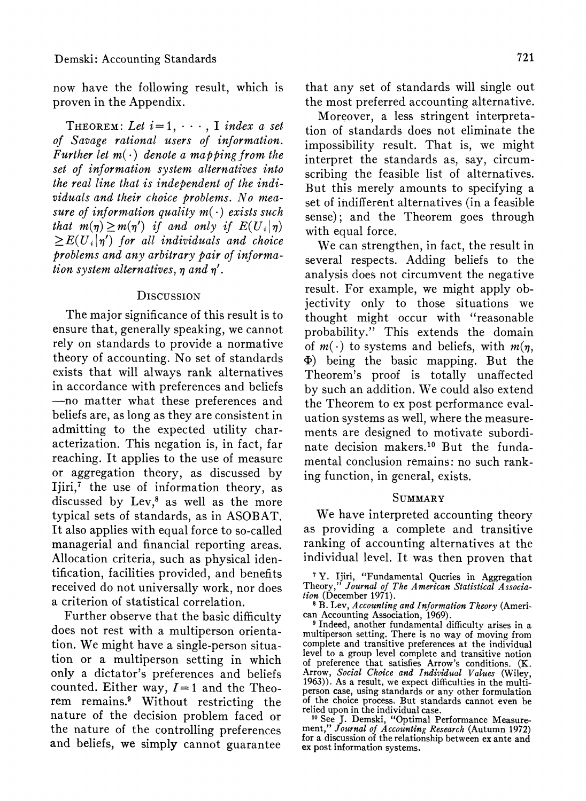**now have the following result, which is proven in the Appendix.** 

**THEOREM:** Let  $i=1, \cdots, I$  index a set **of Savage rational users of information. Further let m(-) denote a mapping from the set of information system alternatives into the real line that is independent of the individuals and their choice problems. No measure of information quality m(-) exists such that**  $m(\eta) > m(\eta')$  **if and only if**  $E(U_i|\eta)$  $\geq E(U_i|\eta')$  for all individuals and choice **problems and any arbitrary pair of information system alternatives, n and n'.** 

### **DISCUSSION**

**The major significance of this result is to ensure that, generally speaking, we cannot rely on standards to provide a normative theory of accounting. No set of standards exists that will always rank alternatives in accordance with preferences and beliefs -no matter what these preferences and beliefs are, as long as they are consistent in admitting to the expected utility characterization. This negation is, in fact, far reaching. It applies to the use of measure or aggregation theory, as discussed by Ijiri,7 the use of information theory, as discussed by Lev,8 as well as the more typical sets of standards, as in ASOBAT. It also applies with equal force to so-called managerial and financial reporting areas. Allocation criteria, such as physical identification, facilities provided, and benefits received do not universally work, nor does a criterion of statistical correlation.** 

**Further observe that the basic difficulty does not rest with a multiperson orientation. We might have a single-person situation or a multiperson setting in which only a dictator's preferences and beliefs counted. Either way, I= 1 and the Theorem remains.9 Without restricting the nature of the decision problem faced or the nature of the controlling preferences and beliefs, we simply cannot guarantee** 

**that any set of standards will single out the most preferred accounting alternative.** 

**Moreover, a less stringent interpretation of standards does not eliminate the impossibility result. That is, we might interpret the standards as, say, circumscribing the feasible list of alternatives. But this merely amounts to specifying a set of indifferent alternatives (in a feasible sense); and the Theorem goes through with equal force.** 

**We can strengthen, in fact, the result in several respects. Adding beliefs to the analysis does not circumvent the negative result. For example, we might apply objectivity only to those situations we thought might occur with "reasonable probability." This extends the domain**  of  $m(\cdot)$  to systems and beliefs, with  $m(\eta)$ , **1?) being the basic mapping. But the Theorem's proof is totally unaffected by such an addition. We could also extend the Theorem to ex post performance evaluation systems as well, where the measurements are designed to motivate subordinate decision makers.'0 But the fundamental conclusion remains: no such ranking function, in general, exists.** 

#### **SUMMARY**

**We have interpreted accounting theory as providing a complete and transitive ranking of accounting alternatives at the individual level. It was then proven that** 

**8 B. Lev, Accounting and Information Theory (American Accounting Association, 1969).** 

**9 Indeed, another fundamental difficulty arises in a multiperson setting. There is no way of moving from complete and transitive preferences at the individual level to a group level complete and transitive notion of preference that satisfies Arrow's conditions. (K. Arrow, Social Choice and Individual Values (Wiley, 1963)). As a result, we expect difficulties in the multiperson case, using standards or any other formulation of the choice process. But standards cannot even be relied upon in the individual case.** 

**10 See J. Demski, "Optimal Performance Measure-ment," Journal of Accounting Research (Autumn 1972) for a discussion of the relationship between ex ante and ex post information systems.** 

**<sup>7</sup> Y. Ijiri, "Fundamental Queries in Aggregation Theory," Journal of The American Statistical Associa-tion (December 1971).**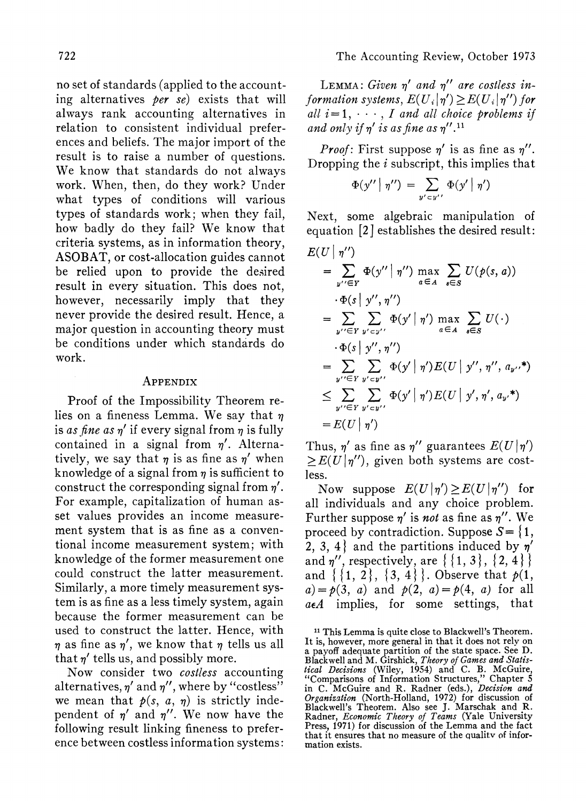**no set of standards (applied to the accounting alternatives per se) exists that will always rank accounting alternatives in relation to consistent individual preferences and beliefs. The major import of the result is to raise a number of questions. We know that standards do not always work. When, then, do they work? Under what types of conditions will various types of standards work; when they fail, how badly do they fail? We know that criteria systems, as in information theory, ASOBAT, or cost-allocation guides cannot be relied upon to provide the desired result in every situation. This does not, however, necessarily imply that they never provide the desired result. Hence, a major question in accounting theory must be conditions under which standards do work.** 

#### **APPENDIX**

**Proof of the Impossibility Theorem re**lies on a fineness Lemma. We say that  $\eta$ is as fine as  $\eta'$  if every signal from  $\eta$  is fully contained in a signal from  $\eta'$ . Alternatively, we say that  $\eta$  is as fine as  $\eta'$  when knowledge of a signal from  $\eta$  is sufficient to **construct the corresponding signal from q'. For example, capitalization of human asset values provides an income measurement system that is as fine as a conventional income measurement system; with knowledge of the former measurement one could construct the latter measurement. Similarly, a more timely measurement system is as fine as a less timely system, again because the former measurement can be used to construct the latter. Hence, with**   $\eta$  as fine as  $\eta'$ , we know that  $\eta$  tells us all that  $\eta'$  tells us, and possibly more.

**Now consider two costless accounting**  alternatives,  $\eta'$  and  $\eta''$ , where by "costless" we mean that  $p(s, a, \eta)$  is strictly independent of  $\eta'$  and  $\eta''$ . We now have the **following result linking fineness to preference between costless information systems:** 

LEMMA: Given n' and n'' are costless information systems,  $E(U_i|\eta') \geq E(U_i|\eta'')$  for all  $i = 1, \cdots, I$  and all choice problems if and only if  $n'$  is as fine as  $n''$ .<sup>11</sup>

*Proof:* **First suppose**  $n'$  **is as fine as**  $n''$ **. Dropping the i subscript, this implies that** 

$$
\Phi(y'' \mid \eta'') = \sum_{y' \subset y''} \Phi(y' \mid \eta')
$$

**Next, some algebraic manipulation of equation [2 ]establishes the desired result:** 

$$
E(U \mid \eta'')
$$
  
=  $\sum_{y'' \in Y} \Phi(y'' \mid \eta'')$  max  $\sum_{a \in A} U(\phi(s, a))$   
 $\cdot \Phi(s \mid y'', \eta'')$   
=  $\sum_{y'' \in Y} \sum_{y' \in y''} \Phi(y' \mid \eta') \max_{a \in A} \sum_{s \in S} U(\cdot)$   
 $\cdot \Phi(s \mid y'', \eta'')$   
=  $\sum_{y'' \in Y} \sum_{y' \in y''} \Phi(y' \mid \eta') E(U \mid y'', \eta'', a_{y''}^*)$   
 $\leq \sum_{y'' \in Y} \sum_{y' \in y''} \Phi(y' \mid \eta') E(U \mid y', \eta', a_{y'}^*)$   
=  $E(U \mid \eta')$ 

Thus,  $\eta'$  as fine as  $\eta''$  guarantees  $E(U|\eta')$  $\geq E(U|\eta'')$ , given both systems are cost**less.** 

Now suppose  $E(U|\eta') \geq E(U|\eta'')$  for **all individuals and any choice problem. Further suppose**  $\eta'$  is not as fine as  $\eta''$ . We proceed by contradiction. Suppose  $S = \{1,$ 2, 3, 4} and the partitions induced by  $\eta'$ and  $\eta''$ , respectively, are  $\{\{1,3\},\{2,4\}\}\$ and  $\{\{1, 2\}, \{3, 4\}\}\$ . Observe that  $p(1, 2)$  $a) = p(3, a)$  and  $p(2, a) = p(4, a)$  for all  $a \in A$  implies, for some settings, that

**<sup>11</sup> This Lemma is quite close to Blackwell's Theorem. It is, however, more general in that it does not rely on a payoff adequate partition of the state space. See D. Blackwell and M. Girshick, Theory of Games and Statis-tical Decisions (Wiley, 1954) and C. B. McGuire "Comparisons of Information Structures," Chapter 5 in C. McGuire and R. Radner (eds.), Decision and**  Organization (North-Holland, 1972) for discussion of Blackwell's Theorem. Also see J. Marschak and R. Radner, *Economic Theory of Teams* (Yale University Press, 1971) for discussion of the Lemma and the fact **that it ensures that no measure of the quality of information exists.**